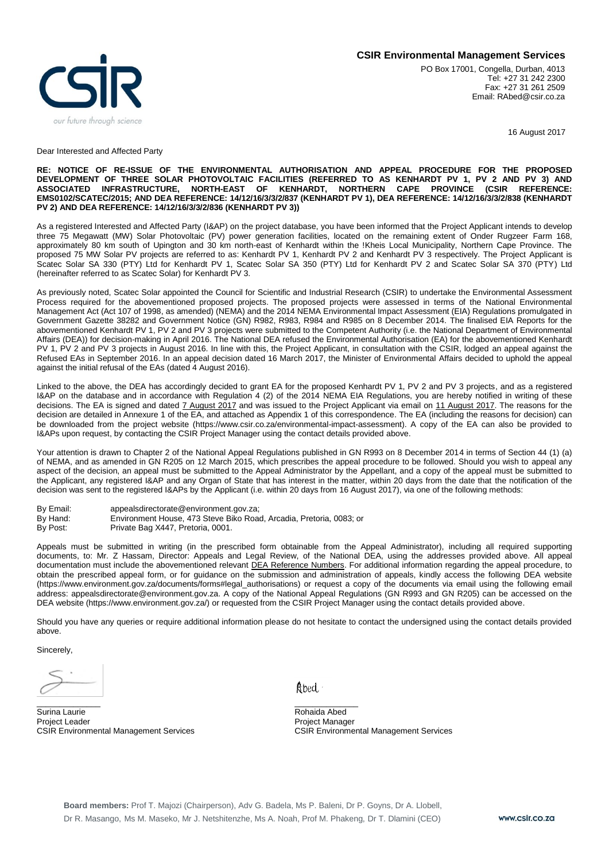



PO Box 17001, Congella, Durban, 4013 Tel: +27 31 242 2300 Fax: +27 31 261 2509 Email: RAbed@csir.co.za

16 August 2017

## Dear Interested and Affected Party

## **RE: NOTICE OF RE-ISSUE OF THE ENVIRONMENTAL AUTHORISATION AND APPEAL PROCEDURE FOR THE PROPOSED DEVELOPMENT OF THREE SOLAR PHOTOVOLTAIC FACILITIES (REFERRED TO AS KENHARDT PV 1, PV 2 AND PV 3) AND ASSOCIATED INFRASTRUCTURE, NORTH-EAST OF KENHARDT, NORTHERN CAPE PROVINCE (CSIR REFERENCE: EMS0102/SCATEC/2015; AND DEA REFERENCE: 14/12/16/3/3/2/837 (KENHARDT PV 1), DEA REFERENCE: 14/12/16/3/3/2/838 (KENHARDT PV 2) AND DEA REFERENCE: 14/12/16/3/3/2/836 (KENHARDT PV 3))**

As a registered Interested and Affected Party (I&AP) on the project database, you have been informed that the Project Applicant intends to develop three 75 Megawatt (MW) Solar Photovoltaic (PV) power generation facilities, located on the remaining extent of Onder Rugzeer Farm 168, approximately 80 km south of Upington and 30 km north-east of Kenhardt within the !Kheis Local Municipality, Northern Cape Province. The proposed 75 MW Solar PV projects are referred to as: Kenhardt PV 1, Kenhardt PV 2 and Kenhardt PV 3 respectively. The Project Applicant is Scatec Solar SA 330 (PTY) Ltd for Kenhardt PV 1, Scatec Solar SA 350 (PTY) Ltd for Kenhardt PV 2 and Scatec Solar SA 370 (PTY) Ltd (hereinafter referred to as Scatec Solar) for Kenhardt PV 3.

As previously noted, Scatec Solar appointed the Council for Scientific and Industrial Research (CSIR) to undertake the Environmental Assessment Process required for the abovementioned proposed projects. The proposed projects were assessed in terms of the National Environmental Management Act (Act 107 of 1998, as amended) (NEMA) and the 2014 NEMA Environmental Impact Assessment (EIA) Regulations promulgated in Government Gazette 38282 and Government Notice (GN) R982, R983, R984 and R985 on 8 December 2014. The finalised EIA Reports for the abovementioned Kenhardt PV 1, PV 2 and PV 3 projects were submitted to the Competent Authority (i.e. the National Department of Environmental Affairs (DEA)) for decision-making in April 2016. The National DEA refused the Environmental Authorisation (EA) for the abovementioned Kenhardt PV 1, PV 2 and PV 3 projects in August 2016. In line with this, the Project Applicant, in consultation with the CSIR, lodged an appeal against the Refused EAs in September 2016. In an appeal decision dated 16 March 2017, the Minister of Environmental Affairs decided to uphold the appeal against the initial refusal of the EAs (dated 4 August 2016).

Linked to the above, the DEA has accordingly decided to grant EA for the proposed Kenhardt PV 1, PV 2 and PV 3 projects, and as a registered I&AP on the database and in accordance with Regulation 4 (2) of the 2014 NEMA EIA Regulations, you are hereby notified in writing of these decisions. The EA is signed and dated 7 August 2017 and was issued to the Project Applicant via email on 11 August 2017. The reasons for the decision are detailed in Annexure 1 of the EA, and attached as Appendix 1 of this correspondence. The EA (including the reasons for decision) can be downloaded from the project website (https://www.csir.co.za/environmental-impact-assessment). A copy of the EA can also be provided to I&APs upon request, by contacting the CSIR Project Manager using the contact details provided above.

Your attention is drawn to Chapter 2 of the National Appeal Regulations published in GN R993 on 8 December 2014 in terms of Section 44 (1) (a) of NEMA, and as amended in GN R205 on 12 March 2015, which prescribes the appeal procedure to be followed. Should you wish to appeal any aspect of the decision, an appeal must be submitted to the Appeal Administrator by the Appellant, and a copy of the appeal must be submitted to the Applicant, any registered I&AP and any Organ of State that has interest in the matter, within 20 days from the date that the notification of the decision was sent to the registered I&APs by the Applicant (i.e. within 20 days from 16 August 2017), via one of the following methods:

By Email: appealsdirectorate@environment.gov.za;<br>By Hand: Environment House, 473 Steve Biko Roa Environment House, 473 Steve Biko Road, Arcadia, Pretoria, 0083; or

By Post: Private Bag X447, Pretoria, 0001.

Appeals must be submitted in writing (in the prescribed form obtainable from the Appeal Administrator), including all required supporting documents, to: Mr. Z Hassam, Director: Appeals and Legal Review, of the National DEA, using the addresses provided above. All appeal documentation must include the abovementioned relevant DEA Reference Numbers. For additional information regarding the appeal procedure, to obtain the prescribed appeal form, or for guidance on the submission and administration of appeals, kindly access the following DEA website (https://www.environment.gov.za/documents/forms#legal\_authorisations) or request a copy of the documents via email using the following email address: appealsdirectorate@environment.gov.za. A copy of the National Appeal Regulations (GN R993 and GN R205) can be accessed on the DEA website (https://www.environment.gov.za/) or requested from the CSIR Project Manager using the contact details provided above.

Should you have any queries or require additional information please do not hesitate to contact the undersigned using the contact details provided above.

Sincerely,

Surina Laurie Rohaida Abed<br>Project Leader Rohaida Abed<br>Project Manag

Abed

\_\_\_\_\_\_\_\_\_\_\_\_\_\_ \_\_\_\_\_\_\_\_\_\_\_\_\_\_ Project Manager CSIR Environmental Management Services CSIR Environmental Management Services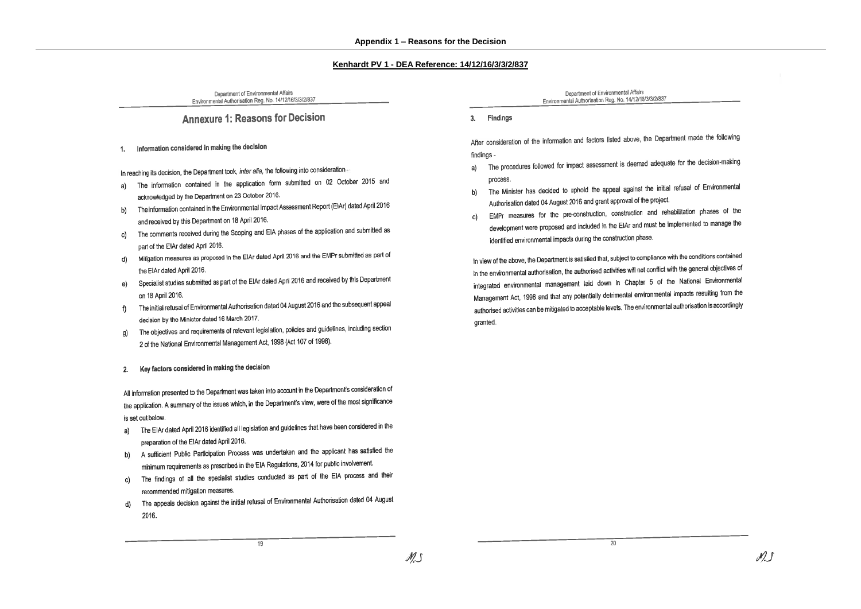### Kenhardt PV 1 - DEA Reference: 14/12/16/3/3/2/837

Department of Environmental Affairs Environmental Authorisation Reg. No. 14/12/16/3/3/2/837

## **Annexure 1: Reasons for Decision**

#### Information considered in making the decision 1.

In reaching its decision, the Department took, inter alia, the following into consideration -

- The information contained in the application form submitted on 02 October 2015 and a) acknowledged by the Department on 23 October 2016.
- The information contained in the Environmental Impact Assessment Report (EIAr) dated April 2016 b) and received by this Department on 18 April 2016.
- The comments received during the Scoping and EIA phases of the application and submitted as c) part of the EIAr dated April 2016.
- Mitigation measures as proposed in the EIAr dated April 2016 and the EMPr submitted as part of d) the EIAr dated April 2016.
- Specialist studies submitted as part of the EIAr dated April 2016 and received by this Department e) on 18 April 2016.
- The initial refusal of Environmental Authorisation dated 04 August 2016 and the subsequent appeal f) decision by the Minister dated 16 March 2017.
- The objectives and requirements of relevant legislation, policies and guidelines, including section g) 2 of the National Environmental Management Act, 1998 (Act 107 of 1998).

#### Key factors considered in making the decision  $2.$

All information presented to the Department was taken into account in the Department's consideration of the application. A summary of the issues which, in the Department's view, were of the most significance is set out below.

- The EIAr dated April 2016 identified all legislation and guidelines that have been considered in the a) preparation of the EIAr dated April 2016.
- b) A sufficient Public Participation Process was undertaken and the applicant has satisfied the minimum requirements as prescribed in the EIA Regulations, 2014 for public involvement.
- c) The findings of all the specialist studies conducted as part of the EIA process and their recommended mitigation measures.
- d) The appeals decision against the initial refusal of Environmental Authorisation dated 04 August 2016.

19

Department of Environmental Affairs Environmental Authorisation Reg. No. 14/12/16/3/3/2/837

3. Findings

After consideration of the information and factors listed above, the Department made the following findings -

- The procedures followed for impact assessment is deemed adequate for the decision-making a) process.
- The Minister has decided to uphold the appeal against the initial refusal of Environmental b) Authorisation dated 04 August 2016 and grant approval of the project.
- EMPr measures for the pre-construction, construction and rehabilitation phases of the c) development were proposed and included in the EIAr and must be implemented to manage the identified environmental impacts during the construction phase.

In view of the above, the Department is satisfied that, subject to compliance with the conditions contained in the environmental authorisation, the authorised activities will not conflict with the general objectives of integrated environmental management laid down in Chapter 5 of the National Environmental Management Act, 1998 and that any potentially detrimental environmental impacts resulting from the authorised activities can be mitigated to acceptable levels. The environmental authorisation is accordingly granted.

20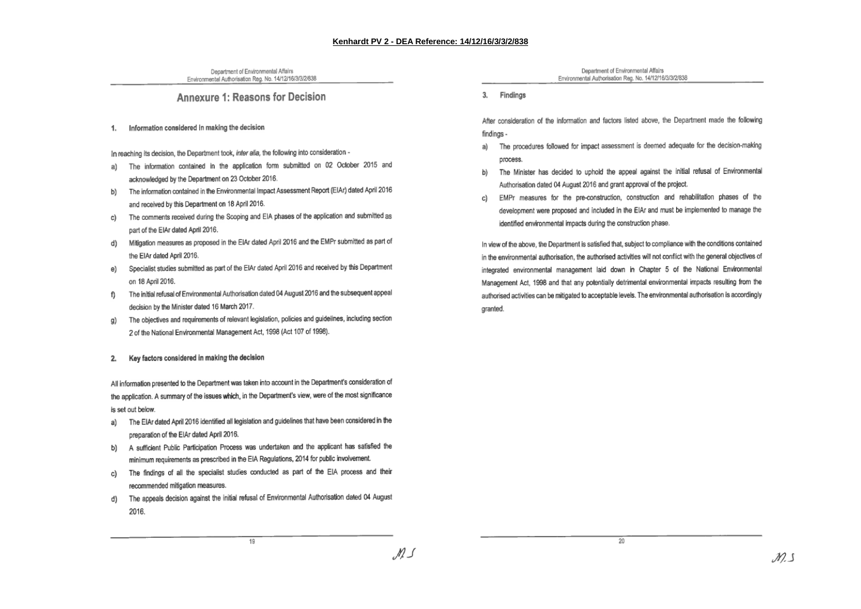M S

Department of Environmental Affairs Environmental Authorisation Reg. No. 14/12/16/3/3/2/838

## Annexure 1: Reasons for Decision

Information considered in making the decision 1.

In reaching its decision, the Department took, inter alia, the following into consideration -

- a) The information contained in the application form submitted on 02 October 2015 and acknowledged by the Department on 23 October 2016.
- b) The information contained in the Environmental Impact Assessment Report (EIAr) dated April 2016 and received by this Department on 18 April 2016.
- c) The comments received during the Scoping and EIA phases of the application and submitted as part of the EIAr dated April 2016.
- Mitigation measures as proposed in the EIAr dated April 2016 and the EMPr submitted as part of d) the EIAr dated April 2016.
- Specialist studies submitted as part of the EIAr dated April 2016 and received by this Department e) on 18 April 2016.
- ft The initial refusal of Environmental Authorisation dated 04 August 2016 and the subsequent appeal decision by the Minister dated 16 March 2017.
- The objectives and requirements of relevant legislation, policies and guidelines, including section a) 2 of the National Environmental Management Act, 1998 (Act 107 of 1998).

#### Key factors considered in making the decision  $2.$

All information presented to the Department was taken into account in the Department's consideration of the application. A summary of the issues which, in the Department's view, were of the most significance is set out below.

- a) The EIAr dated April 2016 identified all legislation and guidelines that have been considered in the preparation of the EIAr dated April 2016.
- b) A sufficient Public Participation Process was undertaken and the applicant has satisfied the minimum requirements as prescribed in the EIA Regulations, 2014 for public involvement.
- c) The findings of all the specialist studies conducted as part of the EIA process and their recommended mitigation measures.
- The appeals decision against the initial refusal of Environmental Authorisation dated 04 August d) 2016.

 $19$ 

Department of Environmental Affairs Environmental Authorisation Reg. No. 14/12/16/3/3/2/838

3. Findings

After consideration of the information and factors listed above, the Department made the following findinas -

- The procedures followed for impact assessment is deemed adequate for the decision-making a) process.
- The Minister has decided to uphold the appeal against the initial refusal of Environmental b) Authorisation dated 04 August 2016 and grant approval of the project.
- EMPr measures for the pre-construction, construction and rehabilitation phases of the c) development were proposed and included in the EIAr and must be implemented to manage the identified environmental impacts during the construction phase.

In view of the above, the Department is satisfied that, subject to compliance with the conditions contained in the environmental authorisation, the authorised activities will not conflict with the general objectives of integrated environmental management laid down in Chapter 5 of the National Environmental Management Act, 1998 and that any potentially detrimental environmental impacts resulting from the authorised activities can be mitigated to acceptable levels. The environmental authorisation is accordingly granted.